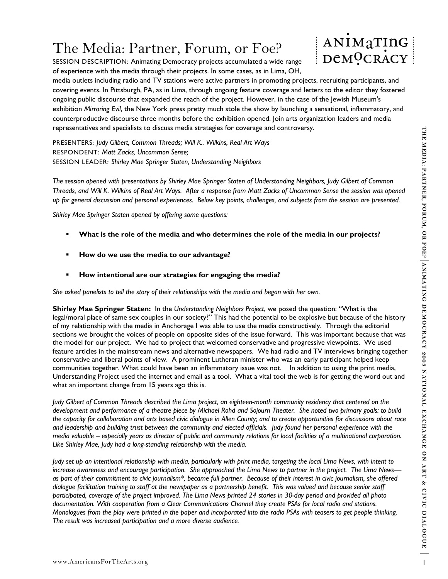## The Media: Partner, Forum, or Foe?

SESSION DESCRIPTION: Animating Democracy projects accumulated a wide range of experience with the media through their projects. In some cases, as in Lima, OH,



media outlets including radio and TV stations were active partners in promoting projects, recruiting participants, and covering events. In Pittsburgh, PA, as in Lima, through ongoing feature coverage and letters to the editor they fostered ongoing public discourse that expanded the reach of the project. However, in the case of the Jewish Museum's exhibition *Mirroring Evil*, the New York press pretty much stole the show by launching a sensational, inflammatory, and counterproductive discourse three months before the exhibition opened. Join arts organization leaders and media representatives and specialists to discuss media strategies for coverage and controversy.

PRESENTERS: *Judy Gilbert, Common Threads; Will K.. Wilkins, Real Art Ways*  RESPONDENT: *Matt Zacks, Uncommon Sense;*  SESSION LEADER: *Shirley Mae Springer Staten, Understanding Neighbors* 

*The session opened with presentations by Shirley Mae Springer Staten of Understanding Neighbors, Judy Gilbert of Common Threads, and Will K. Wilkins of Real Art Ways. After a response from Matt Zacks of Uncommon Sense the session was opened up for general discussion and personal experiences. Below key points, challenges, and subjects from the session are presented.* 

*Shirley Mae Springer Staten opened by offering some questions:* 

- **What is the role of the media and who determines the role of the media in our projects?**
- **How do we use the media to our advantage?**
- **How intentional are our strategies for engaging the media?**

*She asked panelists to tell the story of their relationships with the media and began with her own.* 

www.americans-arts and the media to our any endit at the phonon of the three high methods in the phonon standard in the methods in the term of the standard and the methods of the standard and the methods of the standard an **Shirley Mae Springer Staten:** In the *Understanding Neighbors Project*, we posed the question: "What is the legal/moral place of same sex couples in our society?" This had the potential to be explosive but because of the history of my relationship with the media in Anchorage I was able to use the media constructively. Through the editorial sections we brought the voices of people on opposite sides of the issue forward. This was important because that was the model for our project. We had to project that welcomed conservative and progressive viewpoints. We used feature articles in the mainstream news and alternative newspapers. We had radio and TV interviews bringing together conservative and liberal points of view. A prominent Lutheran minister who was an early participant helped keep communities together. What could have been an inflammatory issue was not. In addition to using the print media, Understanding Project used the internet and email as a tool. What a vital tool the web is for getting the word out and what an important change from 15 years ago this is.

*Judy Gilbert of Common Threads described the Lima project, an eighteen-month community residency that centered on the development and performance of a theatre piece by Michael Rohd and Sojourn Theater. She noted two primary goals: to build the capacity for collaboration and arts based civic dialogue in Allen County; and to create opportunities for discussions about race and leadership and building trust between the community and elected officials. Judy found her personal experience with the media valuable – especially years as director of public and community relations for local facilities of a multinational corporation. Like Shirley Mae, Judy had a long-standing relationship with the media.* 

*Judy set up an intentional relationship with media, particularly with print media, targeting the local Lima News, with intent to increase awareness and encourage participation. She approached the Lima News to partner in the project. The Lima News as part of their commitment to civic journalism\*, became full partner. Because of their interest in civic journalism, she offered dialogue facilitation training to staff at the newspaper as a partnership benefit. This was valued and because senior staff participated, coverage of the project improved. The Lima News printed 24 stories in 30-day period and provided all photo documentation. With cooperation from a Clear Communications Channel they create PSAs for local radio and stations. Monologues from the play were printed in the paper and incorporated into the radio PSAs with teasers to get people thinking. The result was increased participation and a more diverse audience.*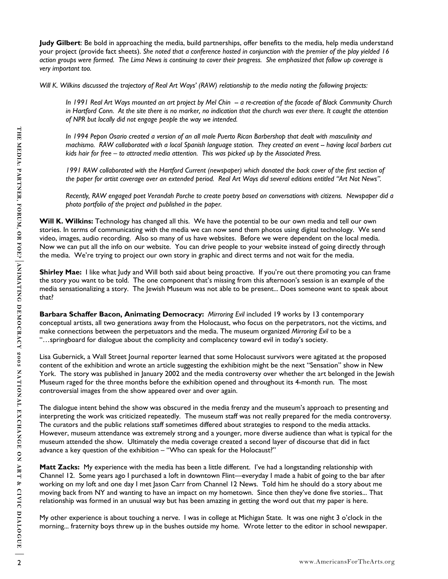**Judy Gilbert**: Be bold in approaching the media, build partnerships, offer benefits to the media, help media understand your project (provide fact sheets). *She noted that a conference hosted in conjunction with the premier of the play yielded 16 action groups were formed. The Lima News is continuing to cover their progress. She emphasized that follow up coverage is very important too.* 

*Will K. Wilkins discussed the trajectory of Real Art Ways' (RAW) relationship to the media noting the following projects:* 

*In 1991 Real Art Ways mounted an art project by Mel Chin -- a re-creation of the facade of Black Community Church in Hartford Conn. At the site there is no marker, no indication that the church was ever there. It caught the attention of NPR but locally did not engage people the way we intended.* 

*In 1994 Pepon Osario created a version of an all male Puerto Rican Barbershop that dealt with masculinity and machismo. RAW collaborated with a local Spanish language station. They created an event -- having local barbers cut kids hair for free – to attracted media attention. This was picked up by the Associated Press.* 

1991 RAW collaborated with the Hartford Current (newspaper) which donated the back cover of the first section of *the paper for artist coverage over an extended period. Real Art Ways did several editions entitled "Art Not News".* 

*Recently, RAW engaged poet Verandah Porche to create poetry based on conversations with citizens. Newspaper did a photo portfolio of the project and published in the paper.*

**Will K. Wilkins:** Technology has changed all this. We have the potential to be our own media and tell our own stories. In terms of communicating with the media we can now send them photos using digital technology. We send video, images, audio recording. Also so many of us have websites. Before we were dependent on the local media. Now we can put all the info on our website. You can drive people to your website instead of going directly through the media. We're trying to project our own story in graphic and direct terms and not wait for the media.

**Shirley Mae:** I like what Judy and Will both said about being proactive. If you're out there promoting you can frame the story you want to be told. The one component that's missing from this afternoon's session is an example of the media sensationalizing a story. The Jewish Museum was not able to be present... Does someone want to speak about that?

**Barbara Schaffer Bacon, Animating Democracy:** *Mirroring Evil* included 19 works by 13 contemporary conceptual artists, all two generations away from the Holocaust, who focus on the perpetrators, not the victims, and make connections between the perpetuators and the media. The museum organized *Mirroring Evil* to be a "…springboard for dialogue about the complicity and complacency toward evil in today's society.

Lisa Gubernick, a Wall Street Journal reporter learned that some Holocaust survivors were agitated at the proposed content of the exhibition and wrote an article suggesting the exhibition might be the next "Sensation" show in New York. The story was published in January 2002 and the media controversy over whether the art belonged in the Jewish Museum raged for the three months before the exhibition opened and throughout its 4-month run. The most controversial images from the show appeared over and over again.

2 www.americansForthearts.org and the method of the state from the state behavior that containing a method of the state of the state of the state of the form of the state of the form of the state of the form of the state o The dialogue intent behind the show was obscured in the media frenzy and the museum's approach to presenting and interpreting the work was criticized repeatedly. The museum staff was not really prepared for the media controversy. The curators and the public relations staff sometimes differed about strategies to respond to the media attacks. However, museum attendance was extremely strong and a younger, more diverse audience than what is typical for the museum attended the show. Ultimately the media coverage created a second layer of discourse that did in fact advance a key question of the exhibition – "Who can speak for the Holocaust?"

**Matt Zacks:** My experience with the media has been a little different. I've had a longstanding relationship with Channel 12. Some years ago I purchased a loft in downtown Flint—everyday I made a habit of going to the bar after working on my loft and one day I met Jason Carr from Channel 12 News. Told him he should do a story about me moving back from NY and wanting to have an impact on my hometown. Since then they've done five stories... That relationship was formed in an unusual way but has been amazing in getting the word out that my paper is here.

My other experience is about touching a nerve. I was in college at Michigan State. It was one night 3 o'clock in the morning... fraternity boys threw up in the bushes outside my home. Wrote letter to the editor in school newspaper.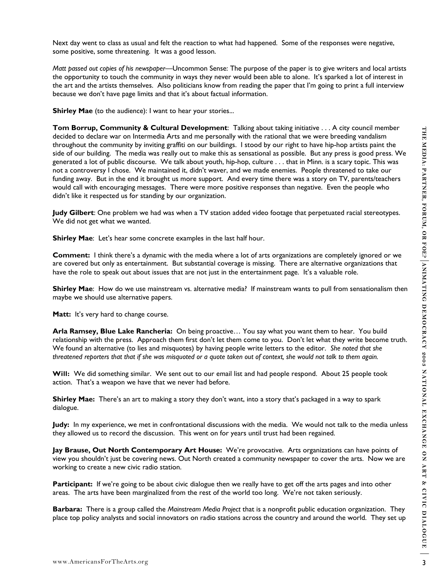Next day went to class as usual and felt the reaction to what had happened. Some of the responses were negative, some positive, some threatening. It was a good lesson.

*Matt passed out copies of his newspaper—*Uncommon Sense: The purpose of the paper is to give writers and local artists the opportunity to touch the community in ways they never would been able to alone. It's sparked a lot of interest in the art and the artists themselves. Also politicians know from reading the paper that I'm going to print a full interview because we don't have page limits and that it's about factual information.

**Shirley Mae** (to the audience): I want to hear your stories...

of the material entirely **a continuously a** with the material and the material is the state of the state of the state of the state of the state of the state of the state of the state of the state of the state of the stat **Tom Borrup, Community & Cultural Development**: Talking about taking initiative . . . A city council member decided to declare war on Intermedia Arts and me personally with the rational that we were breeding vandalism throughout the community by inviting graffiti on our buildings. I stood by our right to have hip-hop artists paint the side of our building. The media was really out to make this as sensational as possible. But any press is good press. We generated a lot of public discourse. We talk about youth, hip-hop, culture . . . that in Minn. is a scary topic. This was not a controversy I chose. We maintained it, didn't waver, and we made enemies. People threatened to take our funding away. But in the end it brought us more support. And every time there was a story on TV, parents/teachers would call with encouraging messages. There were more positive responses than negative. Even the people who didn't like it respected us for standing by our organization.

**Judy Gilbert**: One problem we had was when a TV station added video footage that perpetuated racial stereotypes. We did not get what we wanted.

**Shirley Mae:** Let's hear some concrete examples in the last half hour.

**Comment:** I think there's a dynamic with the media where a lot of arts organizations are completely ignored or we are covered but only as entertainment. But substantial coverage is missing. There are alternative organizations that have the role to speak out about issues that are not just in the entertainment page. It's a valuable role.

**Shirley Mae**: How do we use mainstream vs. alternative media? If mainstream wants to pull from sensationalism then maybe we should use alternative papers.

Matt: It's very hard to change course.

**Arla Ramsey, Blue Lake Rancheria:** On being proactive… You say what you want them to hear. You build relationship with the press. Approach them first don't let them come to you. Don't let what they write become truth. We found an alternative (to lies and misquotes) by having people write letters to the editor. *She noted that she threatened reporters that that if she was misquoted or a quote taken out of context, she would not talk to them again.*

**Will:** We did something similar. We sent out to our email list and had people respond. About 25 people took action. That's a weapon we have that we never had before.

**Shirley Mae:** There's an art to making a story they don't want, into a story that's packaged in a way to spark dialogue.

**Judy:** In my experience, we met in confrontational discussions with the media. We would not talk to the media unless they allowed us to record the discussion. This went on for years until trust had been regained.

**Jay Brause, Out North Contemporary Art House:** We're provocative. Arts organizations can have points of view you shouldn't just be covering news. Out North created a community newspaper to cover the arts. Now we are working to create a new civic radio station.

**Participant:** If we're going to be about civic dialogue then we really have to get off the arts pages and into other areas. The arts have been marginalized from the rest of the world too long. We're not taken seriously.

**Barbara:** There is a group called the *Mainstream Media Project* that is a nonprofit public education organization. They place top policy analysts and social innovators on radio stations across the country and around the world. They set up